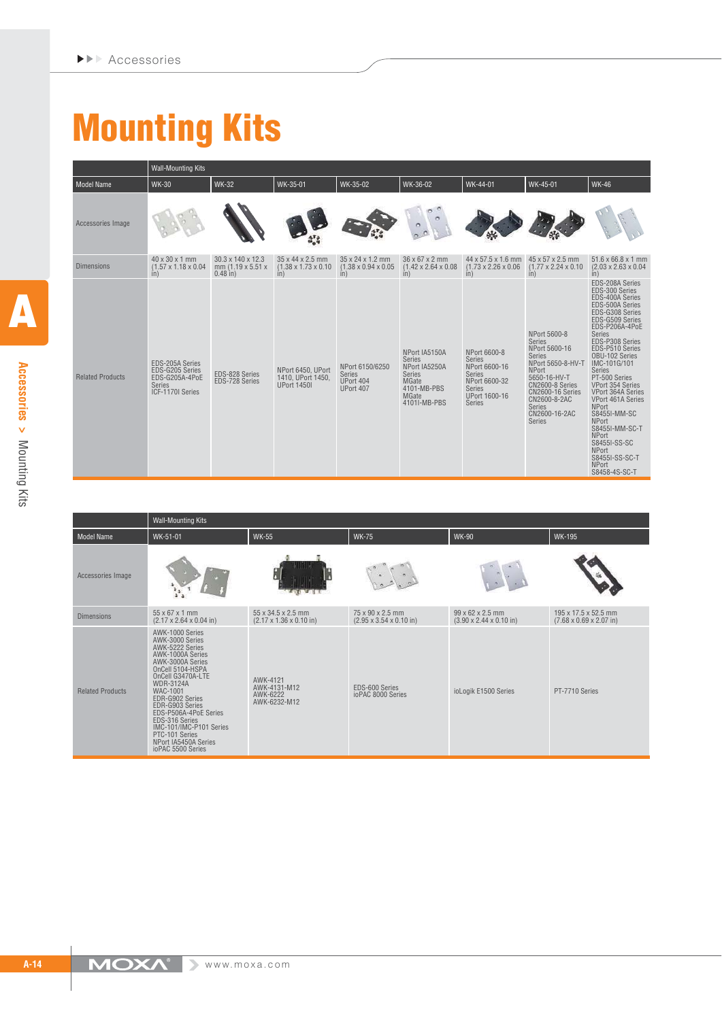## **Mounting Kits**

Wall-Mounting Kits

| <b>Model Name</b>       | WK-30                                                                              | <b>WK-32</b>                                         | WK-35-01                                                     | WK-35-02                                                    | WK-36-02                                                                                                                        | WK-44-01                                                                                                                            | WK-45-01                                                                                                                                                                                                                       | <b>WK-46</b>                                                                                                                                                                                                                                                                                                                                                                                                                                                                           |
|-------------------------|------------------------------------------------------------------------------------|------------------------------------------------------|--------------------------------------------------------------|-------------------------------------------------------------|---------------------------------------------------------------------------------------------------------------------------------|-------------------------------------------------------------------------------------------------------------------------------------|--------------------------------------------------------------------------------------------------------------------------------------------------------------------------------------------------------------------------------|----------------------------------------------------------------------------------------------------------------------------------------------------------------------------------------------------------------------------------------------------------------------------------------------------------------------------------------------------------------------------------------------------------------------------------------------------------------------------------------|
| Accessories Image       |                                                                                    |                                                      |                                                              |                                                             |                                                                                                                                 |                                                                                                                                     |                                                                                                                                                                                                                                |                                                                                                                                                                                                                                                                                                                                                                                                                                                                                        |
| <b>Dimensions</b>       | 40 x 30 x 1 mm<br>$(1.57 \times 1.18 \times 0.04)$<br>in)                          | 30.3 x 140 x 12.3<br>mm (1.19 x 5.51 x<br>$0.48$ in) | 35 x 44 x 2.5 mm<br>$(1.38 \times 1.73 \times 0.10)$<br>in)  | 35 x 24 x 1.2 mm<br>$(1.38 \times 0.94 \times 0.05)$<br>in) | 36 x 67 x 2 mm<br>$(1.42 \times 2.64 \times 0.08)$<br>in)                                                                       | 44 x 57.5 x 1.6 mm<br>$(1.73 \times 2.26 \times 0.06)$<br>in)                                                                       | 45 x 57 x 2.5 mm<br>$(1.77 \times 2.24 \times 0.10$<br>in)                                                                                                                                                                     | $51.6 \times 66.8 \times 1 \text{ mm}$<br>$(2.03 \times 2.63 \times 0.04)$<br>in)                                                                                                                                                                                                                                                                                                                                                                                                      |
| <b>Related Products</b> | EDS-205A Series<br>EDS-G205 Series<br>EDS-G205A-4PoE<br>Series<br>ICF-1170I Series | EDS-828 Series<br>EDS-728 Series                     | NPort 6450, UPort<br>1410. UPort 1450.<br><b>UPort 1450I</b> | NPort 6150/6250<br><b>Series</b><br>UPort 404<br>UPort 407  | NPort IA5150A<br><b>Series</b><br>NPort IA5250A<br><b>Series</b><br><b>MGate</b><br>4101-MB-PBS<br><b>MGate</b><br>4101I-MB-PBS | NPort 6600-8<br><b>Series</b><br>NPort 6600-16<br><b>Series</b><br>NPort 6600-32<br><b>Series</b><br>UPort 1600-16<br><b>Series</b> | NPort 5600-8<br><b>Series</b><br>NPort 5600-16<br><b>Series</b><br>NPort 5650-8-HV-T<br><b>NPort</b><br>5650-16-HV-T<br>CN2600-8 Series<br><b>CN2600-16 Series</b><br>CN2600-8-2AC<br><b>Series</b><br>CN2600-16-2AC<br>Series | EDS-208A Series<br>EDS-300 Series<br>EDS-400A Series<br>EDS-500A Series<br>EDS-G308 Series<br>EDS-G509 Series<br>EDS-P206A-4PoE<br><b>Series</b><br>EDS-P308 Series<br>EDS-P510 Series<br>OBU-102 Series<br>IMC-101G/101<br>Series<br>PT-500 Series<br>VPort 354 Series<br>VPort 364A Series<br>VPort 461A Series<br><b>NPort</b><br>S8455I-MM-SC<br><b>NPort</b><br>S8455I-MM-SC-T<br><b>NPort</b><br>S8455I-SS-SC<br><b>NPort</b><br>S8455I-SS-SC-T<br><b>NPort</b><br>S8458-4S-SC-T |

|                         | <b>Wall-Mounting Kits</b>                                                                                                                                                                                                                                                                                                                         |                                                                               |                                                                 |                                                                             |                                                              |  |  |  |
|-------------------------|---------------------------------------------------------------------------------------------------------------------------------------------------------------------------------------------------------------------------------------------------------------------------------------------------------------------------------------------------|-------------------------------------------------------------------------------|-----------------------------------------------------------------|-----------------------------------------------------------------------------|--------------------------------------------------------------|--|--|--|
| <b>Model Name</b>       | WK-51-01                                                                                                                                                                                                                                                                                                                                          | <b>WK-55</b>                                                                  | <b>WK-75</b>                                                    | <b>WK-90</b>                                                                | WK-195                                                       |  |  |  |
| Accessories Image       |                                                                                                                                                                                                                                                                                                                                                   |                                                                               |                                                                 |                                                                             |                                                              |  |  |  |
| <b>Dimensions</b>       | $55 \times 67 \times 1$ mm<br>$(2.17 \times 2.64 \times 0.04 \text{ in})$                                                                                                                                                                                                                                                                         | $55 \times 34.5 \times 2.5$ mm<br>$(2.17 \times 1.36 \times 0.10 \text{ in})$ | 75 x 90 x 2.5 mm<br>$(2.95 \times 3.54 \times 0.10 \text{ in})$ | $99 \times 62 \times 2.5$ mm<br>$(3.90 \times 2.44 \times 0.10 \text{ in})$ | 195 x 17.5 x 52.5 mm<br>$(7.68 \times 0.69 \times 2.07)$ in) |  |  |  |
| <b>Related Products</b> | AWK-1000 Series<br>AWK-3000 Series<br>AWK-5222 Series<br>AWK-1000A Series<br>AWK-3000A Series<br>OnCell 5104-HSPA<br>OnCell G3470A-LTE<br><b>WDR-3124A</b><br>WAC-1001<br>EDR-G902 Series<br>EDR-G903 Series<br>EDS-P506A-4PoE Series<br>EDS-316 Series<br>IMC-101/IMC-P101 Series<br>PTC-101 Series<br>NPort IA5450A Series<br>ioPAC 5500 Series | AWK-4121<br>AWK-4131-M12<br>AWK-6222<br>AWK-6232-M12                          | EDS-600 Series<br>ioPAC 8000 Series                             | ioLogik E1500 Series                                                        | PT-7710 Series                                               |  |  |  |